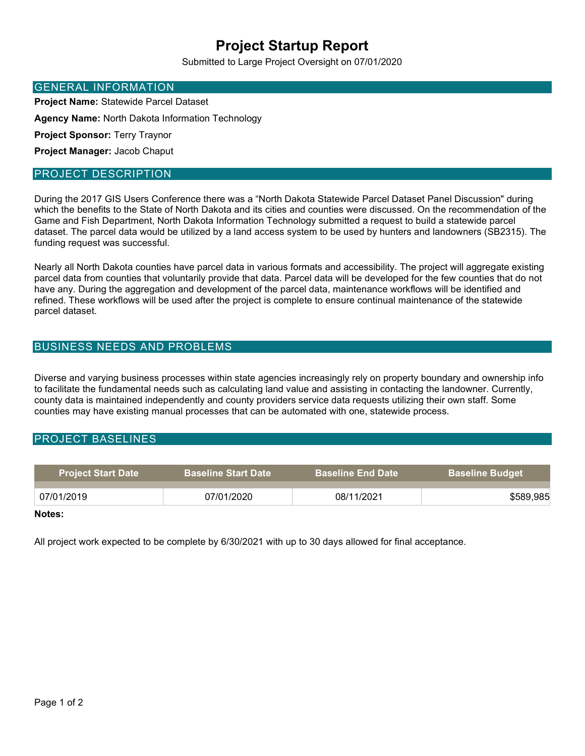# Project Startup Report

Submitted to Large Project Oversight on 07/01/2020

#### GENERAL INFORMATION

Project Name: Statewide Parcel Dataset

Agency Name: North Dakota Information Technology

Project Sponsor: Terry Traynor

Project Manager: Jacob Chaput

#### PROJECT DESCRIPTION

During the 2017 GIS Users Conference there was a "North Dakota Statewide Parcel Dataset Panel Discussion" during which the benefits to the State of North Dakota and its cities and counties were discussed. On the recommendation of the Game and Fish Department, North Dakota Information Technology submitted a request to build a statewide parcel dataset. The parcel data would be utilized by a land access system to be used by hunters and landowners (SB2315). The funding request was successful.

Nearly all North Dakota counties have parcel data in various formats and accessibility. The project will aggregate existing parcel data from counties that voluntarily provide that data. Parcel data will be developed for the few counties that do not have any. During the aggregation and development of the parcel data, maintenance workflows will be identified and refined. These workflows will be used after the project is complete to ensure continual maintenance of the statewide parcel dataset.

### BUSINESS NEEDS AND PROBLEMS

Diverse and varying business processes within state agencies increasingly rely on property boundary and ownership info to facilitate the fundamental needs such as calculating land value and assisting in contacting the landowner. Currently, county data is maintained independently and county providers service data requests utilizing their own staff. Some counties may have existing manual processes that can be automated with one, statewide process.

#### PROJECT BASELINES

| <b>Project Start Date</b> | <b>Baseline Start Date</b> | <b>Baseline End Date</b> | <b>Baseline Budget</b> |
|---------------------------|----------------------------|--------------------------|------------------------|
| 07/01/2019                | 07/01/2020                 | 08/11/2021               | \$589,985              |

#### Notes:

All project work expected to be complete by 6/30/2021 with up to 30 days allowed for final acceptance.